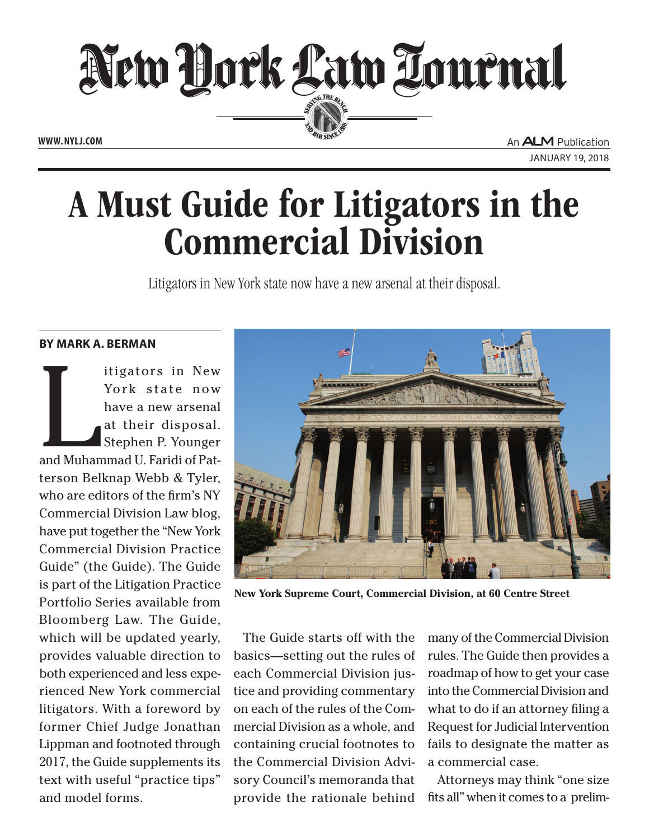

January 19, 2018

## A Must Guide for Litigators in the Commercial Division

Litigators in New York state now have a new arsenal at their disposal.

## **By Mark A. Berman**

Itigators in New<br>York state now<br>have a new arsenal<br>at their disposal.<br>Stephen P. Younger<br>and Muhammad U. Faridi of Patitigators in New York state now have a new arsenal at their disposal. Stephen P. Younger terson Belknap Webb & Tyler, who are editors of the firm's NY Commercial Division Law blog, have put together the "New York Commercial Division Practice Guide" (the Guide). The Guide is part of the Litigation Practice Portfolio Series available from Bloomberg Law. The Guide, which will be updated yearly, provides valuable direction to both experienced and less experienced New York commercial litigators. With a foreword by former Chief Judge Jonathan Lippman and footnoted through 2017, the Guide supplements its text with useful "practice tips" and model forms.



**New York Supreme Court, Commercial Division, at 60 Centre Street** 

The Guide starts off with the basics—setting out the rules of each Commercial Division justice and providing commentary on each of the rules of the Commercial Division as a whole, and containing crucial footnotes to the Commercial Division Advisory Council's memoranda that provide the rationale behind

many of the Commercial Division rules. The Guide then provides a roadmap of how to get your case into the Commercial Division and what to do if an attorney filing a Request for Judicial Intervention fails to designate the matter as a commercial case.

Attorneys may think "one size fits all" when it comes to a prelim